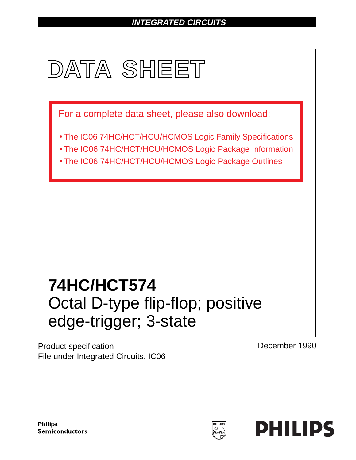# **INTEGRATED CIRCUITS**



Product specification File under Integrated Circuits, IC06 December 1990

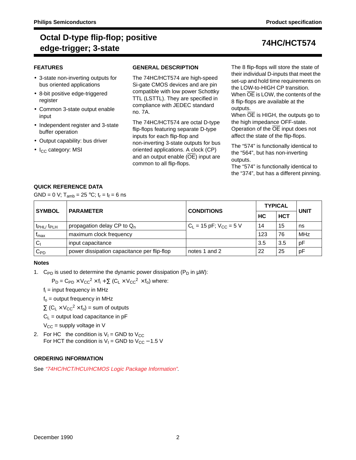# **Octal D-type flip-flop; positive edge-trigger; 3-state 74HC/HCT574**

### **FEATURES**

- 3-state non-inverting outputs for bus oriented applications
- 8-bit positive edge-triggered register
- Common 3-state output enable input
- Independent register and 3-state buffer operation
- Output capability: bus driver
- I<sub>CC</sub> category: MSI

### **GENERAL DESCRIPTION**

The 74HC/HCT574 are high-speed Si-gate CMOS devices and are pin compatible with low power Schottky TTL (LSTTL). They are specified in compliance with JEDEC standard no. 7A.

The 74HC/HCT574 are octal D-type flip-flops featuring separate D-type inputs for each flip-flop and non-inverting 3-state outputs for bus oriented applications. A clock (CP) and an output enable  $(\overline{OE})$  input are common to all flip-flops.

The 8 flip-flops will store the state of their individual D-inputs that meet the set-up and hold time requirements on the LOW-to-HIGH CP transition. When OE is LOW, the contents of the 8 flip-flops are available at the outputs.

When  $\overline{OE}$  is HIGH, the outputs go to the high impedance OFF-state. Operation of the OE input does not affect the state of the flip-flops.

The "574" is functionally identical to the "564", but has non-inverting outputs.

The "574" is functionally identical to the "374", but has a different pinning.

### **QUICK REFERENCE DATA**

GND = 0 V;  $T_{amb}$  = 25 °C;  $t_r = t_f = 6$  ns

| <b>SYMBOL</b>                     | <b>PARAMETER</b>                            | <b>CONDITIONS</b>             | <b>TYPICAL</b> | <b>UNIT</b> |            |
|-----------------------------------|---------------------------------------------|-------------------------------|----------------|-------------|------------|
|                                   |                                             |                               | НC             | <b>HCT</b>  |            |
| t <sub>PHL</sub> t <sub>PLH</sub> | propagation delay CP to $Q_n$               | $C_1 = 15$ pF; $V_{CC} = 5$ V | 14             | 15          | ns         |
| <sup>I</sup> max                  | maximum clock frequency                     |                               | 123            | 76          | <b>MHz</b> |
| $C_1$                             | input capacitance                           |                               | 3.5            | 3.5         | pF         |
| $C_{PD}$                          | power dissipation capacitance per flip-flop | notes 1 and 2                 | 22             | 25          | pF         |

#### **Notes**

1. C<sub>PD</sub> is used to determine the dynamic power dissipation ( $P_D$  in  $\mu W$ ):

 $P_D = C_{PD} \times V_{CC}^2 \times f_i + \sum (C_1 \times V_{CC}^2 \times f_o)$  where:

 $f_i$  = input frequency in MHz

 $f<sub>o</sub>$  = output frequency in MHz

 $\Sigma$  (C<sub>L</sub> × V<sub>CC</sub><sup>2</sup> × f<sub>o</sub>) = sum of outputs

 $C_L$  = output load capacitance in pF

- $V_{CC}$  = supply voltage in V
- 2. For HC the condition is  $V_1$  = GND to  $V_{CC}$ For HCT the condition is  $V_1$  = GND to  $V_{CC}$  – 1.5 V

### **ORDERING INFORMATION**

See "74HC/HCT/HCU/HCMOS Logic Package Information".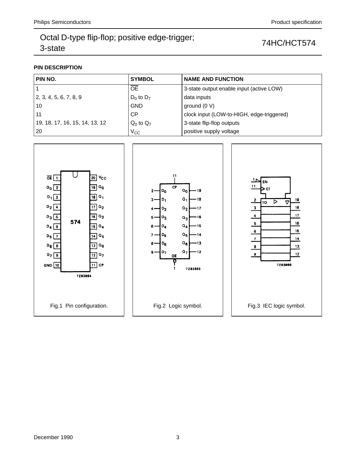## **PIN DESCRIPTION**

| PIN NO.                        | <b>SYMBOL</b>  | <b>NAME AND FUNCTION</b>                  |  |  |  |  |  |  |
|--------------------------------|----------------|-------------------------------------------|--|--|--|--|--|--|
|                                | <b>OE</b>      | 3-state output enable input (active LOW)  |  |  |  |  |  |  |
| 2, 3, 4, 5, 6, 7, 8, 9         | $D_0$ to $D_7$ | data inputs                               |  |  |  |  |  |  |
| 10                             | <b>GND</b>     | ground $(0 V)$                            |  |  |  |  |  |  |
| 11                             | CP             | clock input (LOW-to-HIGH, edge-triggered) |  |  |  |  |  |  |
| 19, 18, 17, 16, 15, 14, 13, 12 | $Q_0$ to $Q_7$ | 3-state flip-flop outputs                 |  |  |  |  |  |  |
| 20                             | $V_{\rm CC}$   | positive supply voltage                   |  |  |  |  |  |  |

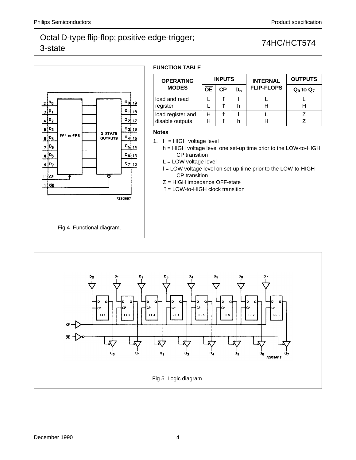

## **FUNCTION TABLE**

| <b>OPERATING</b>  |           | <b>INPUTS</b> |                | <b>INTERNAL</b>   | <b>OUTPUTS</b> |  |  |
|-------------------|-----------|---------------|----------------|-------------------|----------------|--|--|
| <b>MODES</b>      | <b>OE</b> | СP            | D <sub>n</sub> | <b>FLIP-FLOPS</b> | $Q_0$ to $Q_7$ |  |  |
| load and read     |           |               |                |                   |                |  |  |
| register          |           |               |                |                   |                |  |  |
| load register and | н         |               |                |                   |                |  |  |
| disable outputs   | н         |               |                |                   |                |  |  |

#### **Notes**

1.  $H = HIGH$  voltage level

h = HIGH voltage level one set-up time prior to the LOW-to-HIGH CP transition

L = LOW voltage level

l = LOW voltage level on set-up time prior to the LOW-to-HIGH CP transition

- Z = HIGH impedance OFF-state
- $\hat{\Gamma}$  = LOW-to-HIGH clock transition

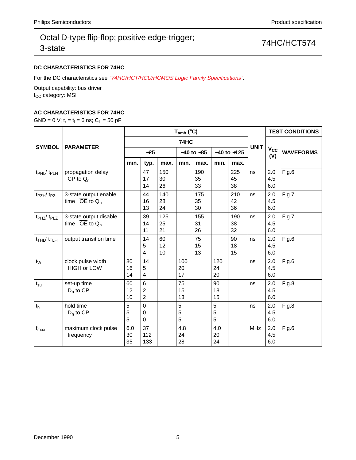## **DC CHARACTERISTICS FOR 74HC**

For the DC characteristics see "74HC/HCT/HCU/HCMOS Logic Family Specifications".

Output capability: bus driver I<sub>CC</sub> category: MSI

## **AC CHARACTERISTICS FOR 74HC**

GND = 0 V;  $t_r = t_f = 6$  ns;  $C_L = 50$  pF

|                                           | <b>PARAMETER</b>                                        |                 |                                                    |                 | $T_{amb}$ (°C)        |                 | <b>TEST CONDITIONS</b> |                 |             |                   |                  |
|-------------------------------------------|---------------------------------------------------------|-----------------|----------------------------------------------------|-----------------|-----------------------|-----------------|------------------------|-----------------|-------------|-------------------|------------------|
|                                           |                                                         | 74HC            |                                                    |                 |                       |                 |                        |                 |             |                   |                  |
| <b>SYMBOL</b>                             |                                                         | $+25$           |                                                    |                 | $-40$ to $+85$        |                 | $-40$ to $+125$        |                 | <b>UNIT</b> | $V_{CC}$<br>(V)   | <b>WAVEFORMS</b> |
|                                           |                                                         | min.            | typ.                                               | max.            | min.                  | max.            | min.                   | max.            |             |                   |                  |
| t <sub>PHL</sub> / t <sub>PLH</sub>       | propagation delay<br>$CP$ to $Q_n$                      |                 | 47<br>17<br>14                                     | 150<br>30<br>26 |                       | 190<br>35<br>33 |                        | 225<br>45<br>38 | ns          | 2.0<br>4.5<br>6.0 | Fig.6            |
| t <sub>PZH</sub> / t <sub>PZL</sub>       | 3-state output enable<br>time $\overline{OE}$ to $Q_n$  |                 | 44<br>16<br>13                                     | 140<br>28<br>24 |                       | 175<br>35<br>30 |                        | 210<br>42<br>36 | ns          | 2.0<br>4.5<br>6.0 | Fig.7            |
| t <sub>PHZ</sub> /t <sub>PLZ</sub>        | 3-state output disable<br>time $\overline{OE}$ to $Q_n$ |                 | 39<br>14<br>11                                     | 125<br>25<br>21 |                       | 155<br>31<br>26 |                        | 190<br>38<br>32 | ns          | 2.0<br>4.5<br>6.0 | Fig.7            |
| $t$ <sub>THL</sub> $/$ $t$ <sub>TLH</sub> | output transition time                                  |                 | 14<br>5<br>4                                       | 60<br>12<br>10  |                       | 75<br>15<br>13  |                        | 90<br>18<br>15  | ns          | 2.0<br>4.5<br>6.0 | Fig.6            |
| $t_{W}$                                   | clock pulse width<br><b>HIGH or LOW</b>                 | 80<br>16<br>14  | 14<br>5<br>4                                       |                 | 100<br>20<br>17       |                 | 120<br>24<br>20        |                 | ns          | 2.0<br>4.5<br>6.0 | Fig.6            |
| $t_{\rm su}$                              | set-up time<br>$D_n$ to CP                              | 60<br>12<br>10  | $6\phantom{1}$<br>$\overline{2}$<br>$\overline{c}$ |                 | 75<br>15<br>13        |                 | 90<br>18<br>15         |                 | ns          | 2.0<br>4.5<br>6.0 | Fig.8            |
| t <sub>h</sub>                            | hold time<br>$D_n$ to $CP$                              | 5<br>5<br>5     | $\mathbf 0$<br>0<br>$\Omega$                       |                 | $\mathbf 5$<br>5<br>5 |                 | 5<br>5<br>5            |                 | ns          | 2.0<br>4.5<br>6.0 | Fig.8            |
| $f_{\text{max}}$                          | maximum clock pulse<br>frequency                        | 6.0<br>30<br>35 | 37<br>112<br>133                                   |                 | 4.8<br>24<br>28       |                 | 4.0<br>20<br>24        |                 | <b>MHz</b>  | 2.0<br>4.5<br>6.0 | Fig.6            |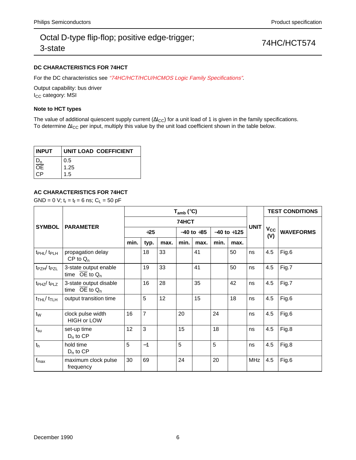### **DC CHARACTERISTICS FOR 74HCT**

For the DC characteristics see "74HC/HCT/HCU/HCMOS Logic Family Specifications".

Output capability: bus driver I<sub>CC</sub> category: MSI

#### **Note to HCT types**

The value of additional quiescent supply current ( $\Delta I_{CC}$ ) for a unit load of 1 is given in the family specifications. To determine ∆I<sub>CC</sub> per input, multiply this value by the unit load coefficient shown in the table below.

| <b>INPUT</b>    | UNIT LOAD COEFFICIENT |
|-----------------|-----------------------|
|                 | 0.5                   |
| $\overline{OE}$ | 1.25                  |
| СP              | 1.5                   |

### **AC CHARACTERISTICS FOR 74HCT**

GND = 0 V;  $t_r = t_f = 6$  ns;  $C_L = 50$  pF

|                                        | <b>PARAMETER</b>                                       | $T_{amb}$ (°C) |                |      |                |      |                 |      |             | <b>TEST CONDITIONS</b> |                  |
|----------------------------------------|--------------------------------------------------------|----------------|----------------|------|----------------|------|-----------------|------|-------------|------------------------|------------------|
| <b>SYMBOL</b>                          |                                                        |                |                |      | 74HCT          |      |                 |      |             |                        |                  |
|                                        |                                                        | $+25$          |                |      | $-40$ to $+85$ |      | $-40$ to $+125$ |      | <b>UNIT</b> | $V_{\rm CC}$<br>(V)    | <b>WAVEFORMS</b> |
|                                        |                                                        | min.           | typ.           | max. | min.           | max. | min.            | max. |             |                        |                  |
| $t_{\rm PHL}$ / $t_{\rm PLH}$          | propagation delay<br>$CP$ to $Q_n$                     |                | 18             | 33   |                | 41   |                 | 50   | ns          | 4.5                    | Fig.6            |
| t <sub>PZH</sub> /t <sub>PZL</sub>     | 3-state output enable<br>time $\overline{OE}$ to $Q_n$ |                | 19             | 33   |                | 41   |                 | 50   | ns          | 4.5                    | Fig.7            |
| t <sub>PHZ</sub> /t <sub>PLZ</sub>     | 3-state output disable<br>time OE to $Q_n$             |                | 16             | 28   |                | 35   |                 | 42   | ns          | 4.5                    | Fig.7            |
| $t$ <sub>THL</sub> $/t$ <sub>TLH</sub> | output transition time                                 |                | 5              | 12   |                | 15   |                 | 18   | ns          | 4.5                    | Fig.6            |
| $t_{W}$                                | clock pulse width<br><b>HIGH or LOW</b>                | 16             | $\overline{7}$ |      | 20             |      | 24              |      | ns          | 4.5                    | Fig.6            |
| $t_{\rm su}$                           | set-up time<br>$D_n$ to $CP$                           | 12             | 3              |      | 15             |      | 18              |      | ns          | 4.5                    | Fig.8            |
| $t_h$                                  | hold time<br>$D_n$ to $CP$                             | 5              | $-1$           |      | 5              |      | 5               |      | ns          | 4.5                    | Fig.8            |
| $f_{\text{max}}$                       | maximum clock pulse<br>frequency                       | 30             | 69             |      | 24             |      | 20              |      | <b>MHz</b>  | 4.5                    | Fig.6            |